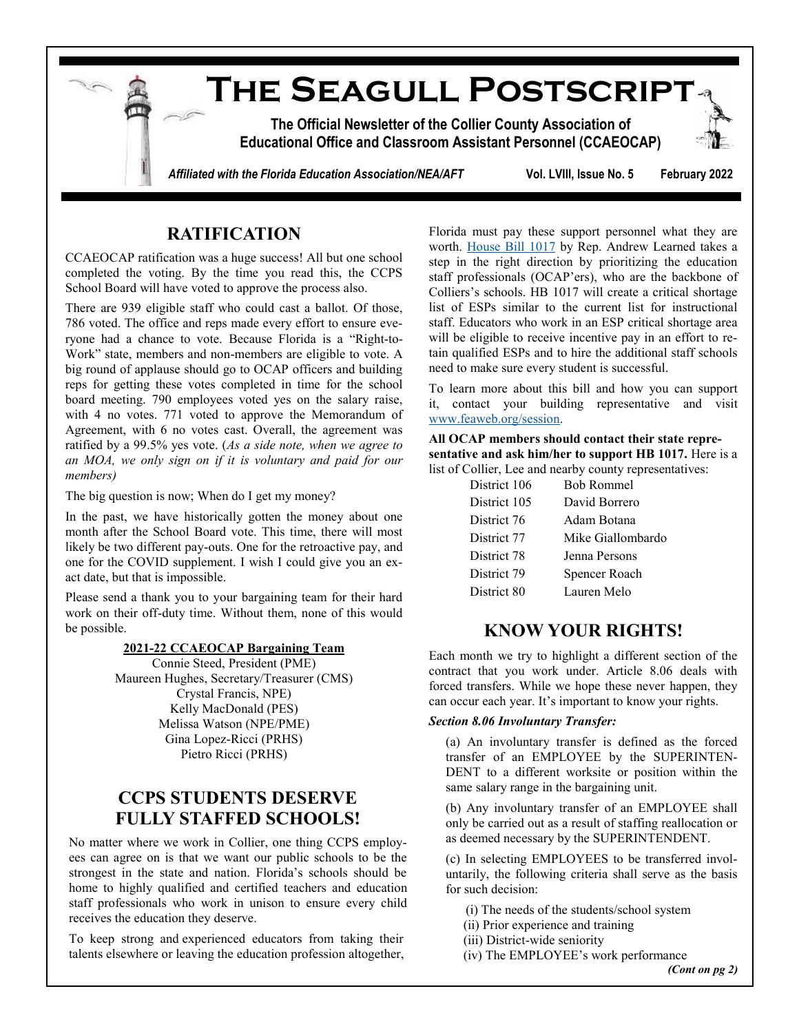

# **RATIFICATION**

CCAEOCAP ratification was a huge success! All but one school completed the voting. By the time you read this, the CCPS School Board will have voted to approve the process also.

There are 939 eligible staff who could cast a ballot. Of those, 786 voted. The office and reps made every effort to ensure everyone had a chance to vote. Because Florida is a "Right-to-Work" state, members and non-members are eligible to vote. A big round of applause should go to OCAP officers and building reps for getting these votes completed in time for the school board meeting. 790 employees voted yes on the salary raise, with 4 no votes. 771 voted to approve the Memorandum of Agreement, with 6 no votes cast. Overall, the agreement was ratified by a 99.5% yes vote. (*As a side note, when we agree to an MOA, we only sign on if it is voluntary and paid for our members)*

The big question is now; When do I get my money?

In the past, we have historically gotten the money about one month after the School Board vote. This time, there will most likely be two different pay-outs. One for the retroactive pay, and one for the COVID supplement. I wish I could give you an exact date, but that is impossible.

Please send a thank you to your bargaining team for their hard work on their off-duty time. Without them, none of this would be possible.

### **2021-22 CCAEOCAP Bargaining Team**

Connie Steed, President (PME) Maureen Hughes, Secretary/Treasurer (CMS) Crystal Francis, NPE) Kelly MacDonald (PES) Melissa Watson (NPE/PME) Gina Lopez-Ricci (PRHS) Pietro Ricci (PRHS)

# **CCPS STUDENTS DESERVE FULLY STAFFED SCHOOLS!**

No matter where we work in Collier, one thing CCPS employees can agree on is that we want our public schools to be the strongest in the state and nation. Florida's schools should be home to highly qualified and certified teachers and education staff professionals who work in unison to ensure every child receives the education they deserve.

To keep strong and experienced educators from taking their talents elsewhere or leaving the education profession altogether,

Florida must pay these support personnel what they are worth. [House Bill 1017](https://feaweb.org/issues-action/2022-legislative-session/bills-were-watching/education-staff-professionals-hb-1017/) by Rep. Andrew Learned takes a step in the right direction by prioritizing the education staff professionals (OCAP'ers), who are the backbone of Colliers's schools. HB 1017 will create a critical shortage list of ESPs similar to the current list for instructional staff. Educators who work in an ESP critical shortage area will be eligible to receive incentive pay in an effort to retain qualified ESPs and to hire the additional staff schools need to make sure every student is successful.

To learn more about this bill and how you can support it, contact your building representative and visit [www.feaweb.org/session.](http://www.feaweb.org/session)

**All OCAP members should contact their state representative and ask him/her to support HB 1017.** Here is a list of Collier, Lee and nearby county representatives:

| District 106 | <b>Bob Rommel</b> |
|--------------|-------------------|
| District 105 | David Borrero     |
| District 76  | Adam Botana       |
| District 77  | Mike Giallombardo |
| District 78  | Jenna Persons     |
| District 79  | Spencer Roach     |
| District 80  | Lauren Melo       |

# **KNOW YOUR RIGHTS!**

Each month we try to highlight a different section of the contract that you work under. Article 8.06 deals with forced transfers. While we hope these never happen, they can occur each year. It's important to know your rights.

#### *Section 8.06 Involuntary Transfer:*

(a) An involuntary transfer is defined as the forced transfer of an EMPLOYEE by the SUPERINTEN-DENT to a different worksite or position within the same salary range in the bargaining unit.

(b) Any involuntary transfer of an EMPLOYEE shall only be carried out as a result of staffing reallocation or as deemed necessary by the SUPERINTENDENT.

(c) In selecting EMPLOYEES to be transferred involuntarily, the following criteria shall serve as the basis for such decision:

- (i) The needs of the students/school system
- (ii) Prior experience and training
- (iii) District-wide seniority
- (iv) The EMPLOYEE's work performance

*(Cont on pg 2)*